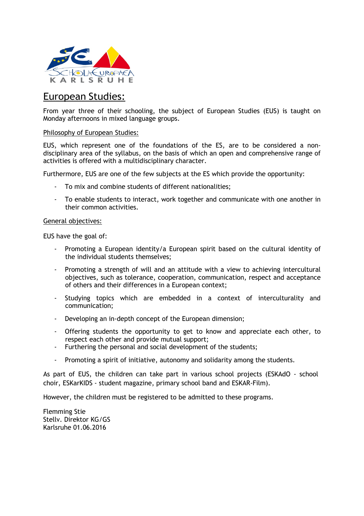

## European Studies:

From year three of their schooling, the subject of European Studies (EUS) is taught on Monday afternoons in mixed language groups.

## Philosophy of European Studies:

EUS, which represent one of the foundations of the ES, are to be considered a nondisciplinary area of the syllabus, on the basis of which an open and comprehensive range of activities is offered with a multidisciplinary character.

Furthermore, EUS are one of the few subjects at the ES which provide the opportunity:

- To mix and combine students of different nationalities;
- To enable students to interact, work together and communicate with one another in their common activities.

## General objectives:

EUS have the goal of:

- Promoting a European identity/a European spirit based on the cultural identity of the individual students themselves;
- Promoting a strength of will and an attitude with a view to achieving intercultural objectives, such as tolerance, cooperation, communication, respect and acceptance of others and their differences in a European context;
- Studying topics which are embedded in a context of interculturality and communication;
- Developing an in-depth concept of the European dimension;
- Offering students the opportunity to get to know and appreciate each other, to respect each other and provide mutual support;
- Furthering the personal and social development of the students;
- Promoting a spirit of initiative, autonomy and solidarity among the students.

As part of EUS, the children can take part in various school projects (ESKAdO - school choir, ESKarKIDS - student magazine, primary school band and ESKAR-Film).

However, the children must be registered to be admitted to these programs.

Flemming Stie Stellv. Direktor KG/GS Karlsruhe 01.06.2016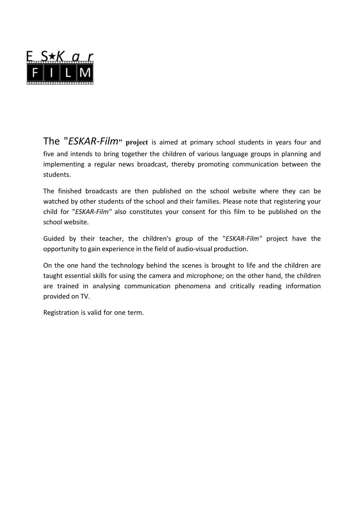

The "*ESKAR‐Film***" project** is aimed at primary school students in years four and five and intends to bring together the children of various language groups in planning and implementing a regular news broadcast, thereby promoting communication between the students.

The finished broadcasts are then published on the school website where they can be watched by other students of the school and their families. Please note that registering your child for "*ESKAR‐Film"* also constitutes your consent for this film to be published on the school website.

Guided by their teacher, the children's group of the "*ESKAR‐Film"* project have the opportunity to gain experience in the field of audio‐visual production.

On the one hand the technology behind the scenes is brought to life and the children are taught essential skills for using the camera and microphone; on the other hand, the children are trained in analysing communication phenomena and critically reading information provided on TV.

Registration is valid for one term.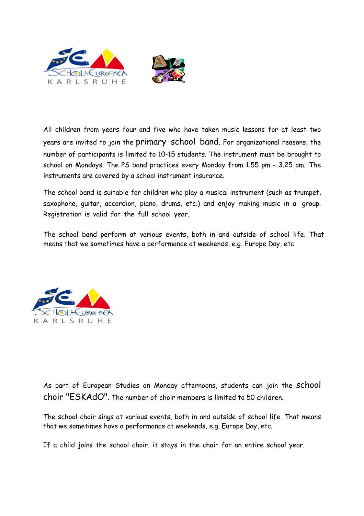



All children from years four and five who have taken music lessons for at least two years are invited to join the primary school band. For organizational reasons, the number of participants is limited to 10-15 students. The instrument must be brought to school on Mondays. The PS band practices every Monday from 1.55 pm - 3.25 pm. The instruments are covered by a school instrument insurance.

The school band is suitable for children who play a musical instrument (such as trumpet, saxophone, guitar, accordion, piano, drums, etc.) and enjoy making music in a group. Registration is valid for the full school year.

The school band perform at various events, both in and outside of school life. That means that we sometimes have a performance at weekends, e.g. Europe Day, etc.



As part of European Studies on Monday afternoons, students can join the school choir "ESKAdO". The number of choir members is limited to 50 children.

The school choir sings at various events, both in and outside of school life. That means that we sometimes have a performance at weekends, e.g. Europe Day, etc.

If a child joins the school choir, it stays in the choir for an entire school year.